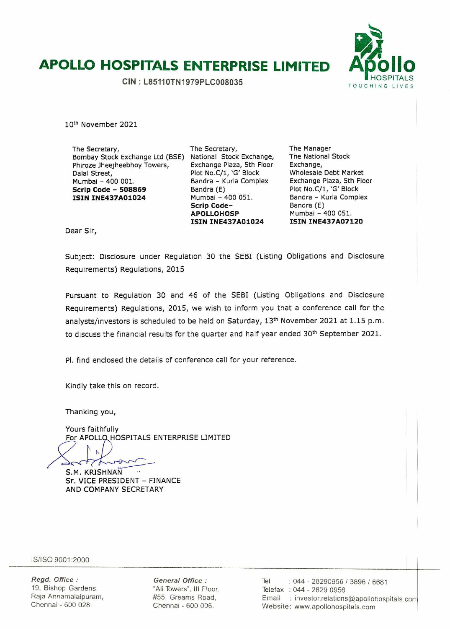# **APOLLO HOSPITALS ENTERPRISE LIMITED Af5'ollo**

**CIN: L85110TN1979PLC008035** 



10th November 2021

The Secretary, Bombay Stock Exchange Ltd (BSE) National Stock Exchange, Phiroze Jheejheebhoy Towers, Dalal Street, Mumbal - 400 001. **Scrip Code** - **<sup>508869</sup> ISIN INE437A01024** 

The Secretary, Exchange Plaza, 5th Floor Plot No.C/1, 'G' Block Bandra - Kurla Complex Bandra (E) Mumbai - 400 051. **Scrip Code**-**APOLLOHOSP ISIN INE437A01024** 

The Manager The National Stock Exchange, Wholesale Debt Market Exchange Plaza, 5th Floor Plot No.C/1, 'G' Block Bandra - Kurla Complex Bandra (E) Mumbai - 400 051. **ISIN INE437A0712O** 

Dear Sir,

Subject: Disclosure under Regulation 30 the SEBI (Listing Obligations and Disclosure Requirements) Regulations, 2015

Pursuant to Regulation 30 and 46 of the SEBI (Listing Obligations and Disclosure Requirements) Regulations, 2015, we wish to inform you that a conference call for the analysts/investors is scheduled to be held on Saturday, 13th November 2021 at 1.15 p.m. to discuss the financial results for the quarter and half year ended 30<sup>th</sup> September 2021.

P1. find enclosed the details of conference call for your reference.

Kindly take this on record.

Thanking you,

Yours faithfully For APOLLQ HOSPITALS ENTERPRISE LIMITED

rov S.M. KRISHNAN Sr. VICE PRESIDENT - FINANCE AND COMPANY SECRETARY

IS/ISO 9001 :2000

Regd. Office: 19, Bishop Gardens, Raja Annamalaipuram, Chennai - 600 028.

General Office: 'Ali Towers', Ill Floor, 55, Greams Road, Chennai - 600 006.

Tel : 044 - 28290956 / 3896 / 6681 Telefax : 044 - 2829 0956 Email : investor.relations@apollohospitals.com Website: www.apollohospitals.com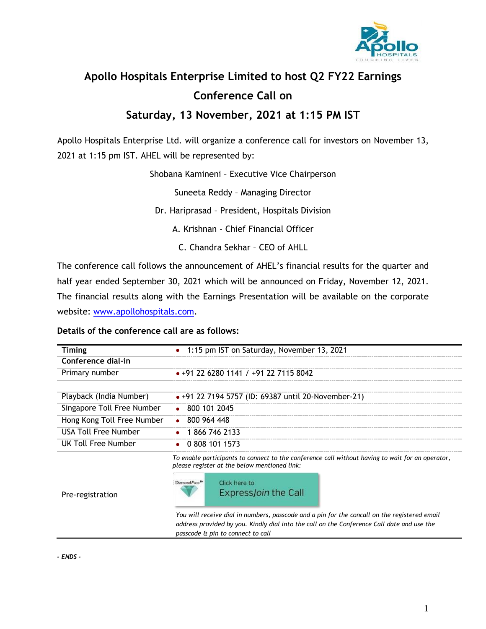

# **Apollo Hospitals Enterprise Limited to host Q2 FY22 Earnings Conference Call on**

### **Saturday, 13 November, 2021 at 1:15 PM IST**

Apollo Hospitals Enterprise Ltd. will organize a conference call for investors on November 13, 2021 at 1:15 pm IST. AHEL will be represented by:

Shobana Kamineni – Executive Vice Chairperson

Suneeta Reddy – Managing Director

Dr. Hariprasad – President, Hospitals Division

A. Krishnan - Chief Financial Officer

C. Chandra Sekhar – CEO of AHLL

The conference call follows the announcement of AHEL's financial results for the quarter and half year ended September 30, 2021 which will be announced on Friday, November 12, 2021. The financial results along with the Earnings Presentation will be available on the corporate website: [www.apollohospitals.com.](http://www.apollohospitals.com/)

### **Details of the conference call are as follows:**

| Timing                     | • 1:15 pm IST on Saturday, November 13, 2021                |
|----------------------------|-------------------------------------------------------------|
| Conference dial-in         |                                                             |
| Primary number             | $+91$ 22 6280 1141 / $+91$ 22 7115 8042                     |
|                            |                                                             |
| Playback (India Number)    | $\bullet$ +91 22 7194 5757 (ID: 69387 until 20-November-21) |
| Singapore Toll Free Number | $\bullet$ 800 101 2045                                      |
| Hong Kong Toll Free Number | $\bullet$ 800 964 448                                       |
| USA Toll Free Number       | $\bullet$ 1 866 746 2133                                    |
| UK Toll Free Number        | $\bullet$ 0.808 101 1573                                    |
|                            |                                                             |

*To enable participants to connect to the conference call without having to wait for an operator, please register at the below mentioned link:*



*You will receive dial in numbers, passcode and a pin for the concall on the registered email address provided by you. Kindly dial into the call on the Conference Call date and use the passcode & pin to connect to call*

*- ENDS -*

Pre-registration